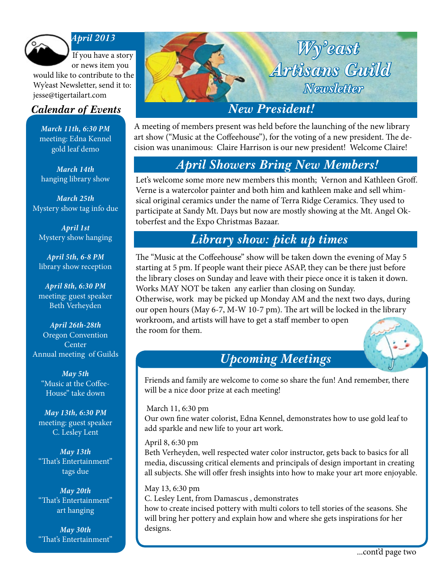

#### *April 2013*

If you have a story or news item you

would like to contribute to the Wy'east Newsletter, send it to: jesse@tigertailart.com

*March 11th, 6:30 PM* meeting: Edna Kennel gold leaf demo

*March 14th* hanging library show

*March 25th* Mystery show tag info due

*April 1st* Mystery show hanging

*April 5th, 6-8 PM* library show reception

*April 8th, 6:30 PM* meeting: guest speaker Beth Verheyden

*April 26th-28th* Oregon Convention **Center** Annual meeting of Guilds

*May 5th* "Music at the Coffee-House" take down

*May 13th, 6:30 PM* meeting: guest speaker C. Lesley Lent

*May 13th* "That's Entertainment" tags due

*May 20th* "That's Entertainment" art hanging

*May 30th* "That's Entertainment"

# *Calendar of Events* New President! *Wy'east Artisans Guild Newsletter*

A meeting of members present was held before the launching of the new library art show ("Music at the Coffeehouse"), for the voting of a new president. The decision was unanimous: Claire Harrison is our new president! Welcome Claire!

### *April Showers Bring New Members!*

Let's welcome some more new members this month; Vernon and Kathleen Groff. Verne is a watercolor painter and both him and kathleen make and sell whimsical original ceramics under the name of Terra Ridge Ceramics. They used to participate at Sandy Mt. Days but now are mostly showing at the Mt. Angel Oktoberfest and the Expo Christmas Bazaar.

## *Library show: pick up times*

The "Music at the Coffeehouse" show will be taken down the evening of May 5 starting at 5 pm. If people want their piece ASAP, they can be there just before the library closes on Sunday and leave with their piece once it is taken it down. Works MAY NOT be taken any earlier than closing on Sunday.

Otherwise, work may be picked up Monday AM and the next two days, during our open hours (May 6-7, M-W 10-7 pm). The art will be locked in the library workroom, and artists will have to get a staff member to open the room for them.

## *Upcoming Meetings*

Friends and family are welcome to come so share the fun! And remember, there will be a nice door prize at each meeting!

March 11, 6:30 pm Our own fine water colorist, Edna Kennel, demonstrates how to use gold leaf to add sparkle and new life to your art work.

#### April 8, 6:30 pm

*Library Show: Coffeehouse & Music* Beth Verheyden, well respected water color instructor, gets back to basics for all media, discussing critical elements and principals of design important in creating all subjects. She will offer fresh insights into how to make your art more enjoyable.

May 13, 6:30 pm C. Lesley Lent, from Damascus , demonstrates how to create incised pottery with multi colors to tell stories of the seasons. She will bring her pottery and explain how and where she gets inspirations for her designs.